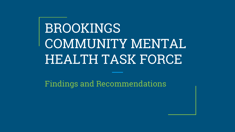# BROOKINGS COMMUNITY MENTAL HEALTH TASK FORCE

Findings and Recommendations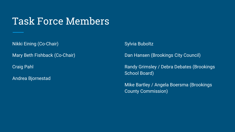# Task Force Members

Nikki Eining (Co-Chair)

Mary Beth Fishback (Co-Chair)

Craig Pahl

Andrea Bjornestad

Sylvia Buboltz

Dan Hansen (Brookings City Council)

Randy Grimsley / Debra Debates (Brookings School Board)

Mike Bartley / Angela Boersma (Brookings County Commission)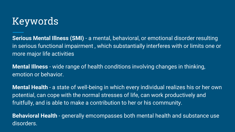# Keywords

**Serious Mental Illness (SMI)** - a mental, behavioral, or emotional disorder resulting in serious functional impairment , which substantially interferes with or limits one or more major life activities

**Mental Illness** - wide range of health conditions involving changes in thinking, emotion or behavior.

**Mental Health** - a state of well-being in which every individual realizes his or her own potential, can cope with the normal stresses of life, can work productively and fruitfully, and is able to make a contribution to her or his community.

**Behavioral Health** - generally emcompasses both mental health and substance use disorders.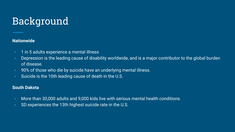# Background

#### **Nationwide**

- 1 in 5 adults experience a mental illness
- Depression is the leading cause of disability worldwide, and is a major contributor to the global burden of disease.
- 90% of those who die by suicide have an underlying mental illness.
- Suicide is the 10th leading cause of death in the U.S.

#### **South Dakota**

- More than 30,000 adults and 9,000 kids live with serious mental health conditions.
- SD experiences the 13th highest suicide rate in the U.S.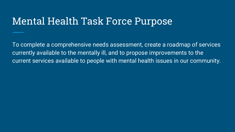# Mental Health Task Force Purpose

To complete a comprehensive needs assessment, create a roadmap of services currently available to the mentally ill, and to propose improvements to the current services available to people with mental health issues in our community.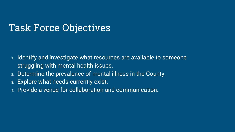# Task Force Objectives

- 1. Identify and investigate what resources are available to someone struggling with mental health issues.
- 2. Determine the prevalence of mental illness in the County.
- 3. Explore what needs currently exist.
- 4. Provide a venue for collaboration and communication.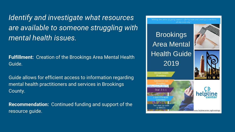*Identify and investigate what resources are available to someone struggling with mental health issues.*

**Fulfillment:** Creation of the Brookings Area Mental Health Guide.

Guide allows for efficient access to information regarding mental health practitioners and services in Brookings County.

**Recommendation:** Continued funding and support of the resource guide.

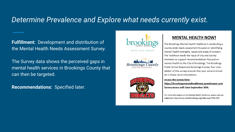## *Determine Prevalence and Explore what needs currently exist.*

**Fulfillment:** Development and distribution of the Mental Health Needs Assessment Survey.

The Survey data shows the perceived gaps in mental health services in Brookings County that can then be targeted.

**Recommendations:** Specified later.







#### **MENTAL HEALTH NOW!**

The Brookings Mental Health Taskforce is conducting a county-wide needs assessment focused on identifying mental health strengths, issues and areas of concern. The Taskforce needs the input of city and county members to support recommendations focused on mental health to the City of Brookings, The Brookings Public School Board and Brookings County. Your completion of this survey ensures that your voice is included in these recommendations.

#### Access the survey here:

https://brookingsmentalhealthnow.questionpro.com Survey access will close September 30th.

For more information on the Mental Health Taskforce, please visit our website at: http://www.cityofbrookings.org/index.aspx?NID=505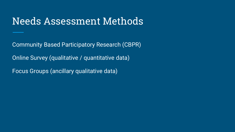# Needs Assessment Methods

Community Based Participatory Research (CBPR)

Online Survey (qualitative / quantitative data)

Focus Groups (ancillary qualitative data)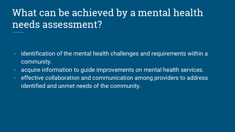# What can be achieved by a mental health needs assessment?

- identification of the mental health challenges and requirements within a community.
- acquire information to guide improvements on mental health services.
- effective collaboration and communication among providers to address identified and unmet needs of the community.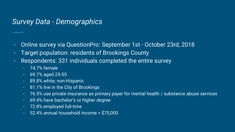### *Survey Data - Demographics*

- Online survey via QuestionPro: September 1st October 23rd, 2018
- Target population: residents of Brookings County
- Respondents: 331 individuals completed the entire survey
	- 74.7% female
	- 69.7% aged 25-55
	- 89.8% white, non-Hispanic
	- 81.1% live in the City of Brookings
	- 76.5% use private insurance as primary payer for mental health / substance abuse services
	- 69.4% have bachelor's or higher degree
	- 72.8% employed full-time
	- 52.4% annual household income > \$75,000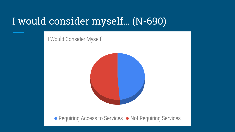# I would consider myself… (N-690)

I Would Consider Myself:



• Requiring Access to Services • Not Requiring Services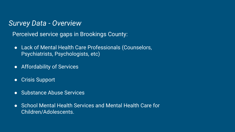### *Survey Data - Overview*

Perceived service gaps in Brookings County:

- Lack of Mental Health Care Professionals (Counselors, Psychiatrists, Psychologists, etc)
- Affordability of Services
- Crisis Support
- Substance Abuse Services
- School Mental Health Services and Mental Health Care for Children/Adolescents.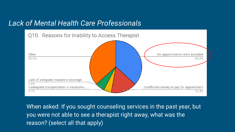

When asked: If you sought counseling services in the past year, but you were not able to see a therapist right away, what was the reason? (select all that apply)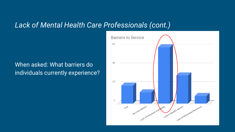### When asked: What barriers do individuals currently experience?

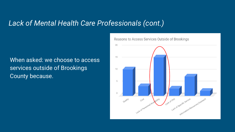### When asked: we choose to access services outside of Brookings County because.

Reasons to Access Services Outside of Brookings

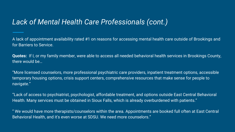A lack of appointment availability rated #1 on reasons for accessing mental health care outside of Brookings and for Barriers to Service.

**Quotes:** If I, or my family member, were able to access all needed behavioral health services in Brookings County, there would be…

"More licensed counselors, more professional psychiatric care providers, inpatient treatment options, accessible temporary housing options, crisis support centers, comprehensive resources that make sense for people to navigate."

"Lack of access to psychiatrist, psychologist, affordable treatment, and options outside East Central Behavioral Health. Many services must be obtained in Sioux Falls, which is already overburdened with patients."

" We would have more therapists/counselors within the area. Appointments are booked full often at East Central Behavioral Health, and it's even worse at SDSU. We need more counselors."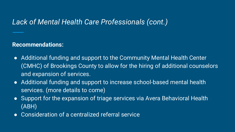### **Recommendations:**

- Additional funding and support to the Community Mental Health Center (CMHC) of Brookings County to allow for the hiring of additional counselors and expansion of services.
- Additional funding and support to increase school-based mental health services. (more details to come)
- Support for the expansion of triage services via Avera Behavioral Health (ABH)
- Consideration of a centralized referral service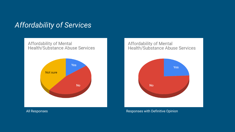# *Affordability of Services*





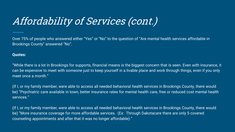# Affordability of Services (cont.)

Over 75% of people who answered either "Yes" or "No" to the question of "Are mental health services affordable in Brookings County" answered "No".

#### **Quotes:**

"While there is a lot in Brookings for supports, financial means is the biggest concern that is seen. Even with insurance, it can be expensive to meet with someone just to keep yourself in a livable place and work through things, even if you only meet once a month."

(If I, or my family member, were able to access all needed behavioral health services in Brookings County, there would be) "Psychiatric care available in town, better insurance rates for mental health care, free or reduced cost mental health services."

(If I, or my family member, were able to access all needed behavioral health services in Brookings County, there would be) "More insurance coverage for more affordable services. (Ex: Through Dakotacare there are only 5 covered counseling appointments and after that it was no longer affordable)."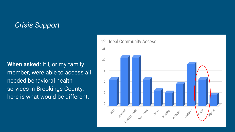# *Crisis Support*

**When asked:** If I, or my family member, were able to access all needed behavioral health services in Brookings County; here is what would be different.

#### **Ideal Community Access** 12.

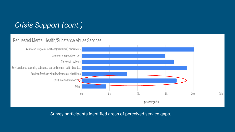# *Crisis Support (cont.)*

#### Requested Mental Health/Substance Abuse Services



25%

Survey participants identified areas of perceived service gaps.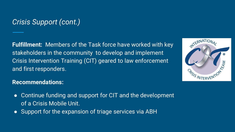# *Crisis Support (cont.)*

**Fulfillment:** Members of the Task force have worked with key stakeholders in the community to develop and implement Crisis Intervention Training (CIT) geared to law enforcement and first responders.

# INTERNATIONAL **INTERVE**

### **Recommendations:**

- Continue funding and support for CIT and the development of a Crisis Mobile Unit.
- Support for the expansion of triage services via ABH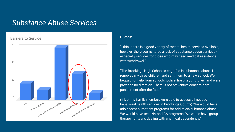### *Substance Abuse Services*



#### Quotes:

"I think there is a good variety of mental health services available, however there seems to be a lack of substance abuse services especially services for those who may need medical assistance with withdrawal."

"The Brookings High School is engulfed in substance abuse, I removed my three children and sent them to a new school. We begged for help from schools, police, hospital, churches, and were provided no direction. There is not preventive concern only punishment after the fact."

(If I, or my family member, were able to access all needed behavioral health services in Brookings County) "We would have adolescent outpatient programs for addiction/substance abuse. We would have teen NA and AA programs. We would have group therapy for teens dealing with chemical dependency."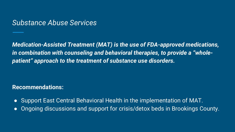### *Substance Abuse Services*

*Medication-Assisted Treatment (MAT) is the use of FDA-approved medications, in combination with counseling and behavioral therapies, to provide a "wholepatient" approach to the treatment of substance use disorders.* 

**Recommendations:**

- Support East Central Behavioral Health in the implementation of MAT.
- Ongoing discussions and support for crisis/detox beds in Brookings County.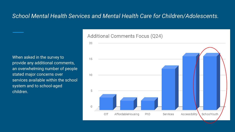### *School Mental Health Services and Mental Health Care for Children/Adolescents.*

When asked in the survey to provide any additional comments, an overwhelming number of people stated major concerns over services available within the school system and to school-aged children.

#### **Additional Comments Focus (Q24)**

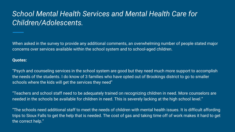# *School Mental Health Services and Mental Health Care for Children/Adolescents.*

When asked in the survey to provide any additional comments, an overwhelming number of people stated major concerns over services available within the school system and to school-aged children.

#### **Quotes:**

"Psych and counseling services in the school system are good but they need much more support to accomplish the needs of the students. I do know of 3 families who have opted out of Brookings district to go to smaller schools where the kids will get the services they need"

"Teachers and school staff need to be adequately trained on recognizing children in need. More counselors are needed in the schools be available for children in need. This is severely lacking at the high school level."

"The schools need additional staff to meet the needs of children with mental health issues. It is difficult affording trips to Sioux Falls to get the help that is needed. The cost of gas and taking time off of work makes it hard to get the correct help."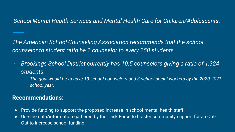### *School Mental Health Services and Mental Health Care for Children/Adolescents.*

*The American School Counseling Association recommends that the school counselor to student ratio be 1 counselor to every 250 students.* 

- *Brookings School District currently has 10.5 counselors giving a ratio of 1:324 students.*
	- *The goal would be to have 13 school counselors and 3 school social workers by the 2020-2021 school year.*

### **Recommendations:**

- Provide funding to support the proposed increase in school mental health staff.
- Use the data/information gathered by the Task Force to bolster community support for an Opt-Out to increase school funding.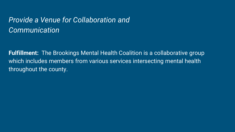# *Provide a Venue for Collaboration and Communication*

**Fulfillment:** The Brookings Mental Health Coalition is a collaborative group which includes members from various services intersecting mental health throughout the county.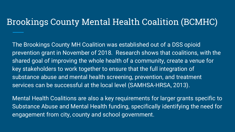# Brookings County Mental Health Coalition (BCMHC)

The Brookings County MH Coalition was established out of a DSS opioid prevention grant in November of 2018. Research shows that coalitions, with the shared goal of improving the whole health of a community, create a venue for key stakeholders to work together to ensure that the full integration of substance abuse and mental health screening, prevention, and treatment services can be successful at the local level (SAMHSA-HRSA, 2013).

Mental Health Coalitions are also a key requirements for larger grants specific to Substance Abuse and Mental Health funding, specifically identifying the need for engagement from city, county and school government.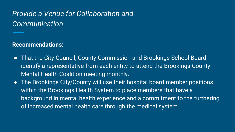# *Provide a Venue for Collaboration and Communication*

**Recommendations:** 

- That the City Council, County Commission and Brookings School Board identify a representative from each entity to attend the Brookings County Mental Health Coalition meeting monthly.
- The Brookings City/County will use their hospital board member positions within the Brookings Health System to place members that have a background in mental health experience and a commitment to the furthering of increased mental health care through the medical system.